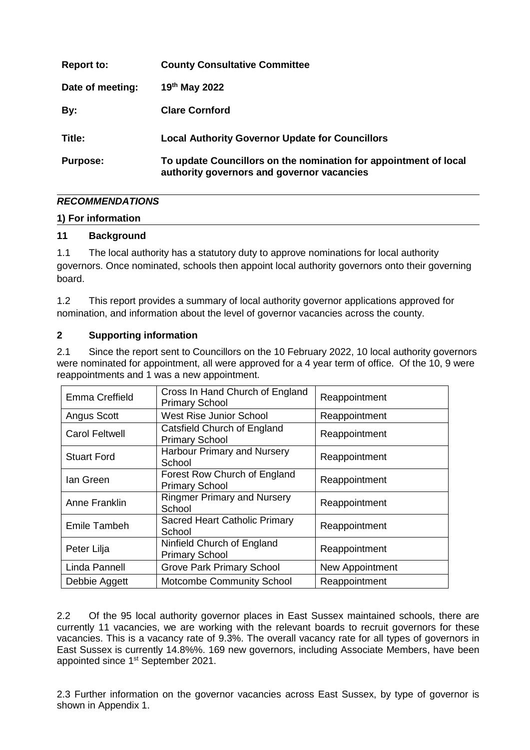| <b>Report to:</b> | <b>County Consultative Committee</b>                                                                           |
|-------------------|----------------------------------------------------------------------------------------------------------------|
| Date of meeting:  | 19th May 2022                                                                                                  |
| By:               | <b>Clare Cornford</b>                                                                                          |
| Title:            | <b>Local Authority Governor Update for Councillors</b>                                                         |
| <b>Purpose:</b>   | To update Councillors on the nomination for appointment of local<br>authority governors and governor vacancies |

# *RECOMMENDATIONS*

#### **1) For information**

### **11 Background**

1.1 The local authority has a statutory duty to approve nominations for local authority governors. Once nominated, schools then appoint local authority governors onto their governing board.

1.2 This report provides a summary of local authority governor applications approved for nomination, and information about the level of governor vacancies across the county.

### **2 Supporting information**

2.1 Since the report sent to Councillors on the 10 February 2022, 10 local authority governors were nominated for appointment, all were approved for a 4 year term of office. Of the 10, 9 were reappointments and 1 was a new appointment.

| Emma Creffield        | Cross In Hand Church of England<br><b>Primary School</b> | Reappointment   |
|-----------------------|----------------------------------------------------------|-----------------|
| Angus Scott           | <b>West Rise Junior School</b>                           | Reappointment   |
| <b>Carol Feltwell</b> | Catsfield Church of England<br><b>Primary School</b>     | Reappointment   |
| <b>Stuart Ford</b>    | Harbour Primary and Nursery<br>School                    | Reappointment   |
| lan Green             | Forest Row Church of England<br><b>Primary School</b>    | Reappointment   |
| Anne Franklin         | <b>Ringmer Primary and Nursery</b><br>School             | Reappointment   |
| Emile Tambeh          | Sacred Heart Catholic Primary<br>School                  | Reappointment   |
| Peter Lilja           | Ninfield Church of England<br><b>Primary School</b>      | Reappointment   |
| Linda Pannell         | <b>Grove Park Primary School</b>                         | New Appointment |
| Debbie Aggett         | <b>Motcombe Community School</b>                         | Reappointment   |

2.2 Of the 95 local authority governor places in East Sussex maintained schools, there are currently 11 vacancies, we are working with the relevant boards to recruit governors for these vacancies. This is a vacancy rate of 9.3%. The overall vacancy rate for all types of governors in East Sussex is currently 14.8%%. 169 new governors, including Associate Members, have been appointed since 1<sup>st</sup> September 2021.

2.3 Further information on the governor vacancies across East Sussex, by type of governor is shown in Appendix 1.